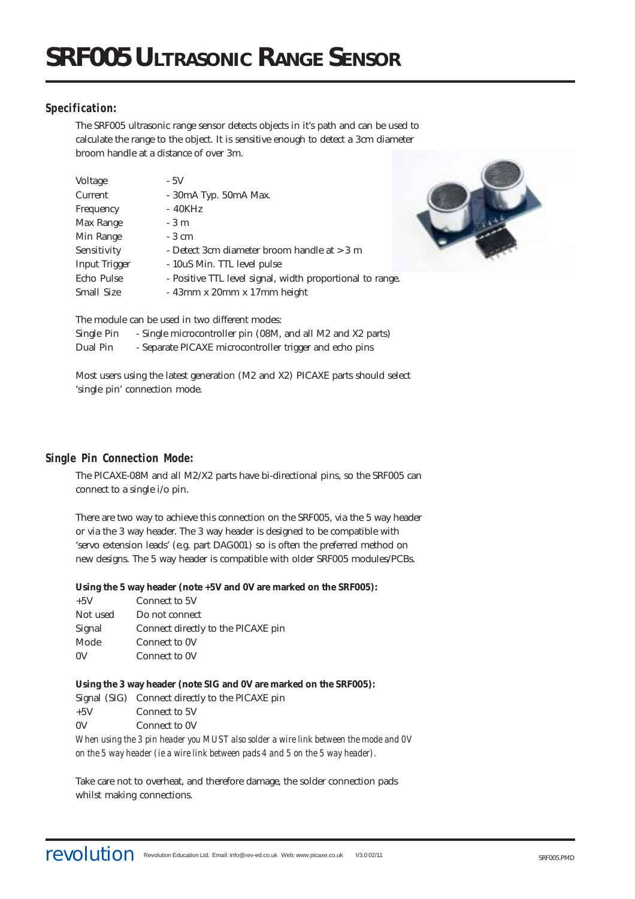# **Specification:**

The SRF005 ultrasonic range sensor detects objects in it's path and can be used to calculate the range to the object. It is sensitive enough to detect a 3cm diameter broom handle at a distance of over 3m.

| Voltage              | $-5V$                                                     |
|----------------------|-----------------------------------------------------------|
| Current              | $-30mA$ Typ. $50mA$ Max.                                  |
| Frequency            | - 40KHz                                                   |
| Max Range            | $-3m$                                                     |
| Min Range            | - 3 cm                                                    |
| Sensitivity          | - Detect 3cm diameter broom handle at > 3 m               |
| <b>Input Trigger</b> | - 10uS Min. TTL level pulse                               |
| Echo Pulse           | - Positive TTL level signal, width proportional to range. |
| <b>Small Size</b>    | $-43$ mm x $20$ mm x $17$ mm height                       |



The module can be used in two different modes:

Single Pin - Single microcontroller pin (08M, and all M2 and X2 parts) Dual Pin - Separate PICAXE microcontroller trigger and echo pins

Most users using the latest generation (M2 and X2) PICAXE parts should select 'single pin' connection mode.

# **Single Pin Connection Mode:**

The PICAXE-08M and all M2/X2 parts have bi-directional pins, so the SRF005 can connect to a single i/o pin.

There are two way to achieve this connection on the SRF005, via the 5 way header or via the 3 way header. The 3 way header is designed to be compatible with 'servo extension leads' (e.g. part DAG001) so is often the preferred method on new designs. The 5 way header is compatible with older SRF005 modules/PCBs.

## **Using the 5 way header (note +5V and 0V are marked on the SRF005):**

| $+5V$    | Connect to 5V                      |
|----------|------------------------------------|
| Not used | Do not connect                     |
| Signal   | Connect directly to the PICAXE pin |
| Mode     | Connect to 0V                      |
| 0V       | Connect to 0V                      |

#### **Using the 3 way header (note SIG and 0V are marked on the SRF005):** Signal (SIG) Connect directly to the PICAXE pin +5V Connect to 5V

0V Connect to 0V

*When using the 3 pin header you MUST also solder a wire link between the mode and 0V on the 5 way header (ie a wire link between pads 4 and 5 on the 5 way header).*

Take care not to overheat, and therefore damage, the solder connection pads whilst making connections.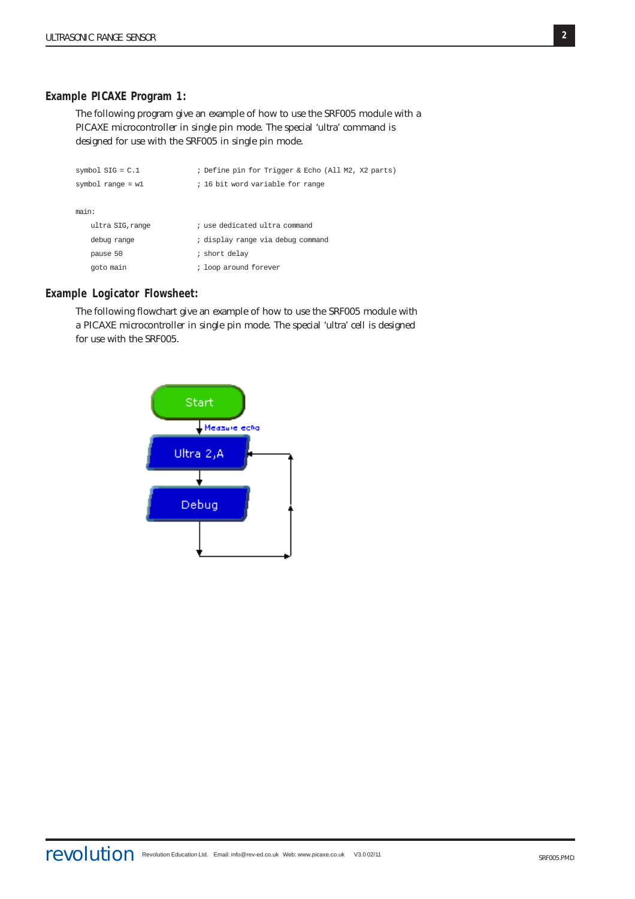## **Example PICAXE Program 1:**

The following program give an example of how to use the SRF005 module with a PICAXE microcontroller in single pin mode. The special 'ultra' command is designed for use with the SRF005 in single pin mode.

| symbol $SIG = C.1$  | ; Define pin for Trigger & Echo (All M2, X2 parts) |
|---------------------|----------------------------------------------------|
| symbol range = $w1$ | ; 16 bit word variable for range                   |
|                     |                                                    |
| main:               |                                                    |
| ultra SIG.range     | ; use dedicated ultra command                      |
| debug range         | ; display range via debug command                  |
| pause 50            | ; short delay                                      |
| goto main           | ; loop around forever                              |

#### **Example Logicator Flowsheet:**

The following flowchart give an example of how to use the SRF005 module with a PICAXE microcontroller in single pin mode. The special 'ultra' cell is designed for use with the SRF005.

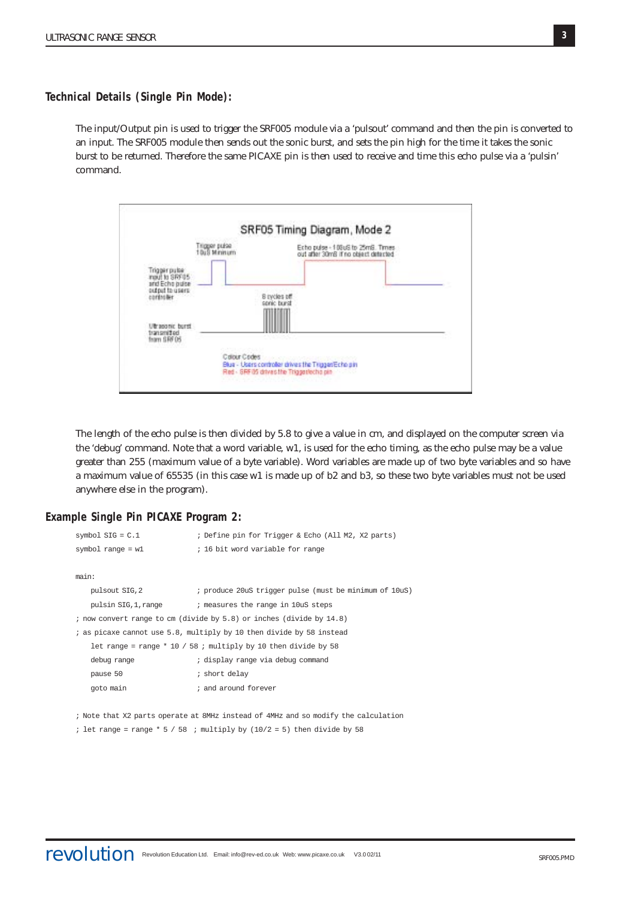**Technical Details (Single Pin Mode):**

The input/Output pin is used to trigger the SRF005 module via a 'pulsout' command and then the pin is converted to an input. The SRF005 module then sends out the sonic burst, and sets the pin high for the time it takes the sonic burst to be returned. Therefore the same PICAXE pin is then used to receive and time this echo pulse via a 'pulsin' command.



The length of the echo pulse is then divided by 5.8 to give a value in cm, and displayed on the computer screen via the 'debug' command. Note that a word variable, w1, is used for the echo timing, as the echo pulse may be a value greater than 255 (maximum value of a byte variable). Word variables are made up of two byte variables and so have a maximum value of 65535 (in this case w1 is made up of b2 and b3, so these two byte variables must not be used anywhere else in the program).

#### **Example Single Pin PICAXE Program 2:**

|                                                                      | symbol $SIG = C.1$  | ; Define pin for Trigger & Echo (All M2, X2 parts)               |
|----------------------------------------------------------------------|---------------------|------------------------------------------------------------------|
|                                                                      | symbol range = $w1$ | ; 16 bit word variable for range                                 |
|                                                                      |                     |                                                                  |
|                                                                      | main:               |                                                                  |
|                                                                      | pulsout SIG, 2      | ; produce 20uS trigger pulse (must be minimum of 10uS)           |
|                                                                      | pulsin SIG,1,range  | ; measures the range in 10uS steps                               |
| ; now convert range to cm (divide by 5.8) or inches (divide by 14.8) |                     |                                                                  |
| ; as picaxe cannot use 5.8, multiply by 10 then divide by 58 instead |                     |                                                                  |
|                                                                      |                     | let range = range $*$ 10 / 58 ; multiply by 10 then divide by 58 |
|                                                                      | debug range         | ; display range via debug command                                |
|                                                                      | pause 50            | ; short delay                                                    |
|                                                                      | goto main           | ; and around forever                                             |
|                                                                      |                     |                                                                  |

; Note that X2 parts operate at 8MHz instead of 4MHz and so modify the calculation

; let range = range \*  $5 / 58$  ; multiply by (10/2 = 5) then divide by 58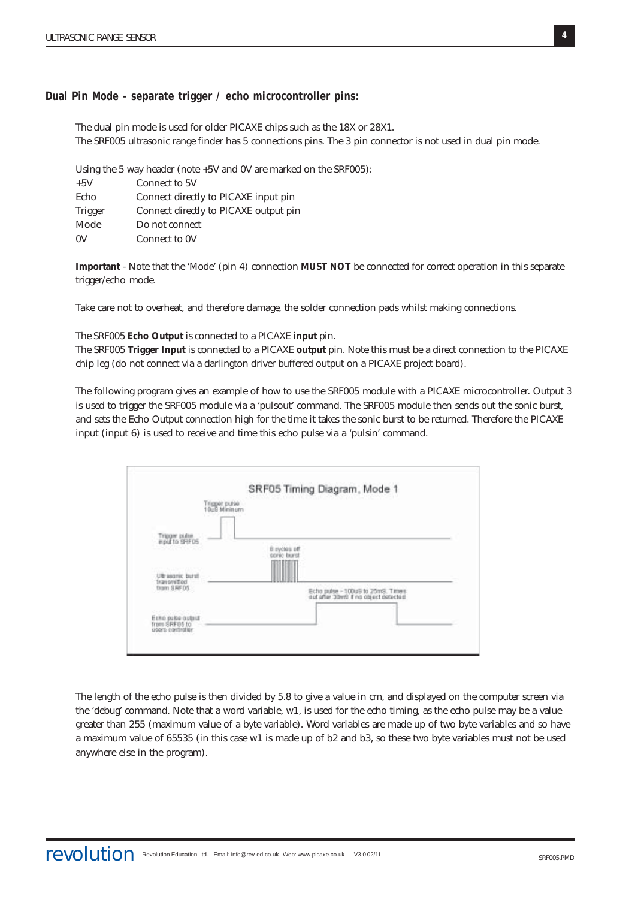**Dual Pin Mode - separate trigger / echo microcontroller pins:**

The dual pin mode is used for older PICAXE chips such as the 18X or 28X1. The SRF005 ultrasonic range finder has 5 connections pins. The 3 pin connector is not used in dual pin mode.

Using the 5 way header (note +5V and 0V are marked on the SRF005): +5V Connect to 5V Echo Connect directly to PICAXE input pin Trigger Connect directly to PICAXE output pin Mode Do not connect 0V Connect to 0V

**Important** - Note that the 'Mode' (pin 4) connection **MUST NOT** be connected for correct operation in this separate trigger/echo mode.

Take care not to overheat, and therefore damage, the solder connection pads whilst making connections.

The SRF005 **Echo Output** is connected to a PICAXE **input** pin.

The SRF005 **Trigger Input** is connected to a PICAXE **output** pin. Note this must be a direct connection to the PICAXE chip leg (do not connect via a darlington driver buffered output on a PICAXE project board).

The following program gives an example of how to use the SRF005 module with a PICAXE microcontroller. Output 3 is used to trigger the SRF005 module via a 'pulsout' command. The SRF005 module then sends out the sonic burst, and sets the Echo Output connection high for the time it takes the sonic burst to be returned. Therefore the PICAXE input (input 6) is used to receive and time this echo pulse via a 'pulsin' command.



The length of the echo pulse is then divided by 5.8 to give a value in cm, and displayed on the computer screen via the 'debug' command. Note that a word variable, w1, is used for the echo timing, as the echo pulse may be a value greater than 255 (maximum value of a byte variable). Word variables are made up of two byte variables and so have a maximum value of 65535 (in this case w1 is made up of b2 and b3, so these two byte variables must not be used anywhere else in the program).